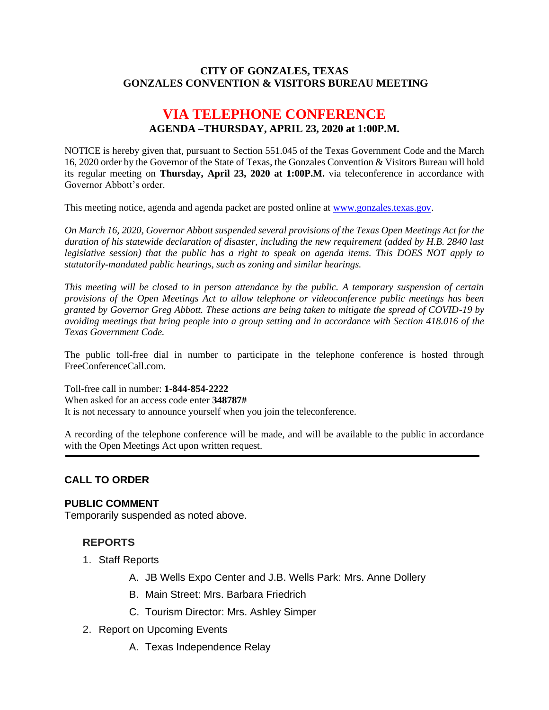#### **CITY OF GONZALES, TEXAS GONZALES CONVENTION & VISITORS BUREAU MEETING**

# **VIA TELEPHONE CONFERENCE AGENDA –THURSDAY, APRIL 23, 2020 at 1:00P.M.**

NOTICE is hereby given that, pursuant to Section 551.045 of the Texas Government Code and the March 16, 2020 order by the Governor of the State of Texas, the Gonzales Convention & Visitors Bureau will hold its regular meeting on **Thursday, April 23, 2020 at 1:00P.M.** via teleconference in accordance with Governor Abbott's order.

This meeting notice, agenda and agenda packet are posted online at [www.gonzales.texas.gov.](http://www.gonzales.texas.gov/)

*On March 16, 2020, Governor Abbott suspended several provisions of the Texas Open Meetings Act for the duration of his statewide declaration of disaster, including the new requirement (added by H.B. 2840 last legislative session) that the public has a right to speak on agenda items. This DOES NOT apply to statutorily-mandated public hearings, such as zoning and similar hearings.* 

*This meeting will be closed to in person attendance by the public. A temporary suspension of certain provisions of the Open Meetings Act to allow telephone or videoconference public meetings has been granted by Governor Greg Abbott. These actions are being taken to mitigate the spread of COVID-19 by avoiding meetings that bring people into a group setting and in accordance with Section 418.016 of the Texas Government Code.*

The public toll-free dial in number to participate in the telephone conference is hosted through FreeConferenceCall.com.

Toll-free call in number: **1-844-854-2222**

When asked for an access code enter **348787#**

It is not necessary to announce yourself when you join the teleconference.

A recording of the telephone conference will be made, and will be available to the public in accordance with the Open Meetings Act upon written request.

### **CALL TO ORDER**

#### **PUBLIC COMMENT**

Temporarily suspended as noted above.

### **REPORTS**

- 1. Staff Reports
	- A. JB Wells Expo Center and J.B. Wells Park: Mrs. Anne Dollery
	- B. Main Street: Mrs. Barbara Friedrich
	- C. Tourism Director: Mrs. Ashley Simper
- 2. Report on Upcoming Events
	- A. Texas Independence Relay